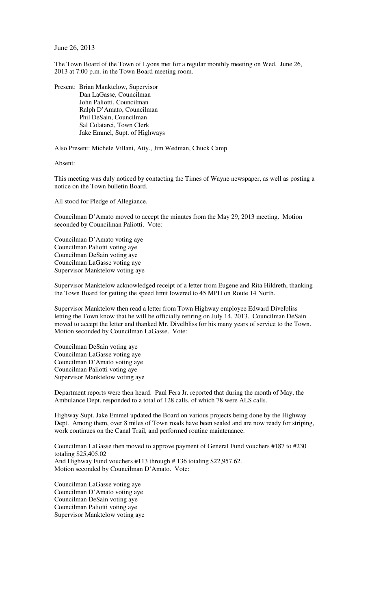June 26, 2013

The Town Board of the Town of Lyons met for a regular monthly meeting on Wed. June 26, 2013 at 7:00 p.m. in the Town Board meeting room.

Present: Brian Manktelow, Supervisor Dan LaGasse, Councilman John Paliotti, Councilman Ralph D'Amato, Councilman Phil DeSain, Councilman Sal Colatarci, Town Clerk Jake Emmel, Supt. of Highways

Also Present: Michele Villani, Atty., Jim Wedman, Chuck Camp

Absent:

This meeting was duly noticed by contacting the Times of Wayne newspaper, as well as posting a notice on the Town bulletin Board.

All stood for Pledge of Allegiance.

Councilman D'Amato moved to accept the minutes from the May 29, 2013 meeting. Motion seconded by Councilman Paliotti. Vote:

Councilman D'Amato voting aye Councilman Paliotti voting aye Councilman DeSain voting aye Councilman LaGasse voting aye Supervisor Manktelow voting aye

Supervisor Manktelow acknowledged receipt of a letter from Eugene and Rita Hildreth, thanking the Town Board for getting the speed limit lowered to 45 MPH on Route 14 North.

Supervisor Manktelow then read a letter from Town Highway employee Edward Divelbliss letting the Town know that he will be officially retiring on July 14, 2013. Councilman DeSain moved to accept the letter and thanked Mr. Divelbliss for his many years of service to the Town. Motion seconded by Councilman LaGasse. Vote:

Councilman DeSain voting aye Councilman LaGasse voting aye Councilman D'Amato voting aye Councilman Paliotti voting aye Supervisor Manktelow voting aye

Department reports were then heard. Paul Fera Jr. reported that during the month of May, the Ambulance Dept. responded to a total of 128 calls, of which 78 were ALS calls.

Highway Supt. Jake Emmel updated the Board on various projects being done by the Highway Dept. Among them, over 8 miles of Town roads have been sealed and are now ready for striping, work continues on the Canal Trail, and performed routine maintenance.

Councilman LaGasse then moved to approve payment of General Fund vouchers #187 to #230 totaling \$25,405.02 And Highway Fund vouchers #113 through # 136 totaling \$22,957.62. Motion seconded by Councilman D'Amato. Vote:

Councilman LaGasse voting aye Councilman D'Amato voting aye Councilman DeSain voting aye Councilman Paliotti voting aye Supervisor Manktelow voting aye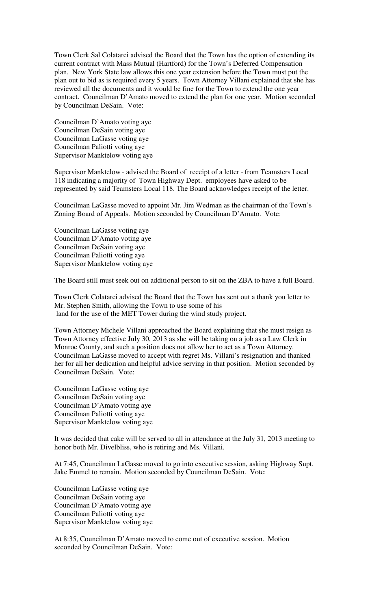Town Clerk Sal Colatarci advised the Board that the Town has the option of extending its current contract with Mass Mutual (Hartford) for the Town's Deferred Compensation plan. New York State law allows this one year extension before the Town must put the plan out to bid as is required every 5 years. Town Attorney Villani explained that she has reviewed all the documents and it would be fine for the Town to extend the one year contract. Councilman D'Amato moved to extend the plan for one year. Motion seconded by Councilman DeSain. Vote:

Councilman D'Amato voting aye Councilman DeSain voting aye Councilman LaGasse voting aye Councilman Paliotti voting aye Supervisor Manktelow voting aye

Supervisor Manktelow - advised the Board of receipt of a letter - from Teamsters Local 118 indicating a majority of Town Highway Dept. employees have asked to be represented by said Teamsters Local 118. The Board acknowledges receipt of the letter.

Councilman LaGasse moved to appoint Mr. Jim Wedman as the chairman of the Town's Zoning Board of Appeals. Motion seconded by Councilman D'Amato. Vote:

Councilman LaGasse voting aye Councilman D'Amato voting aye Councilman DeSain voting aye Councilman Paliotti voting aye Supervisor Manktelow voting aye

The Board still must seek out on additional person to sit on the ZBA to have a full Board.

Town Clerk Colatarci advised the Board that the Town has sent out a thank you letter to Mr. Stephen Smith, allowing the Town to use some of his land for the use of the MET Tower during the wind study project.

Town Attorney Michele Villani approached the Board explaining that she must resign as Town Attorney effective July 30, 2013 as she will be taking on a job as a Law Clerk in Monroe County, and such a position does not allow her to act as a Town Attorney. Councilman LaGasse moved to accept with regret Ms. Villani's resignation and thanked her for all her dedication and helpful advice serving in that position. Motion seconded by Councilman DeSain. Vote:

Councilman LaGasse voting aye Councilman DeSain voting aye Councilman D'Amato voting aye Councilman Paliotti voting aye Supervisor Manktelow voting aye

It was decided that cake will be served to all in attendance at the July 31, 2013 meeting to honor both Mr. Divelbliss, who is retiring and Ms. Villani.

At 7:45, Councilman LaGasse moved to go into executive session, asking Highway Supt. Jake Emmel to remain. Motion seconded by Councilman DeSain. Vote:

Councilman LaGasse voting aye Councilman DeSain voting aye Councilman D'Amato voting aye Councilman Paliotti voting aye Supervisor Manktelow voting aye

At 8:35, Councilman D'Amato moved to come out of executive session. Motion seconded by Councilman DeSain. Vote: